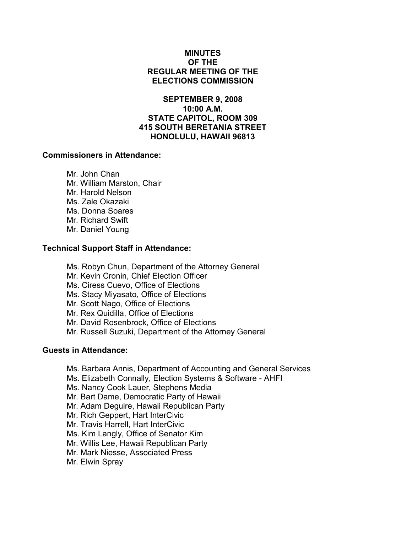## MINUTES OF THE REGULAR MEETING OF THE ELECTIONS COMMISSION

# SEPTEMBER 9, 2008 10:00 A.M. STATE CAPITOL, ROOM 309 415 SOUTH BERETANIA STREET HONOLULU, HAWAII 96813

#### Commissioners in Attendance:

 Mr. John Chan Mr. William Marston, Chair Mr. Harold Nelson Ms. Zale Okazaki Ms. Donna Soares Mr. Richard Swift Mr. Daniel Young

### Technical Support Staff in Attendance:

Ms. Robyn Chun, Department of the Attorney General Mr. Kevin Cronin, Chief Election Officer Ms. Ciress Cuevo, Office of Elections Ms. Stacy Miyasato, Office of Elections Mr. Scott Nago, Office of Elections Mr. Rex Quidilla, Office of Elections Mr. David Rosenbrock, Office of Elections Mr. Russell Suzuki, Department of the Attorney General

#### Guests in Attendance:

- Ms. Barbara Annis, Department of Accounting and General Services
- Ms. Elizabeth Connally, Election Systems & Software AHFI
- Ms. Nancy Cook Lauer, Stephens Media
- Mr. Bart Dame, Democratic Party of Hawaii
- Mr. Adam Deguire, Hawaii Republican Party
- Mr. Rich Geppert, Hart InterCivic
- Mr. Travis Harrell, Hart InterCivic
- Ms. Kim Langly, Office of Senator Kim
- Mr. Willis Lee, Hawaii Republican Party
- Mr. Mark Niesse, Associated Press
- Mr. Elwin Spray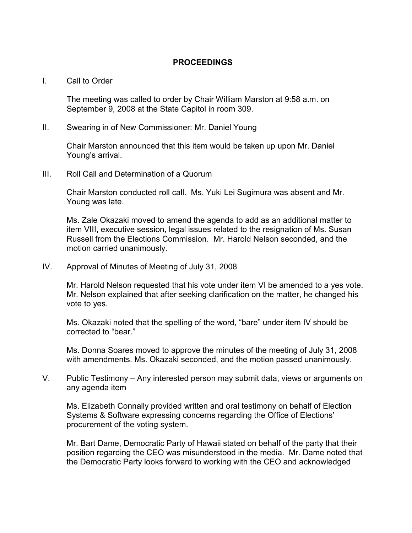# PROCEEDINGS

#### I. Call to Order

The meeting was called to order by Chair William Marston at 9:58 a.m. on September 9, 2008 at the State Capitol in room 309.

### II. Swearing in of New Commissioner: Mr. Daniel Young

Chair Marston announced that this item would be taken up upon Mr. Daniel Young's arrival.

III. Roll Call and Determination of a Quorum

Chair Marston conducted roll call. Ms. Yuki Lei Sugimura was absent and Mr. Young was late.

Ms. Zale Okazaki moved to amend the agenda to add as an additional matter to item VIII, executive session, legal issues related to the resignation of Ms. Susan Russell from the Elections Commission. Mr. Harold Nelson seconded, and the motion carried unanimously.

IV. Approval of Minutes of Meeting of July 31, 2008

Mr. Harold Nelson requested that his vote under item VI be amended to a yes vote. Mr. Nelson explained that after seeking clarification on the matter, he changed his vote to yes.

Ms. Okazaki noted that the spelling of the word, "bare" under item IV should be corrected to "bear."

Ms. Donna Soares moved to approve the minutes of the meeting of July 31, 2008 with amendments. Ms. Okazaki seconded, and the motion passed unanimously.

V. Public Testimony – Any interested person may submit data, views or arguments on any agenda item

Ms. Elizabeth Connally provided written and oral testimony on behalf of Election Systems & Software expressing concerns regarding the Office of Elections' procurement of the voting system.

Mr. Bart Dame, Democratic Party of Hawaii stated on behalf of the party that their position regarding the CEO was misunderstood in the media. Mr. Dame noted that the Democratic Party looks forward to working with the CEO and acknowledged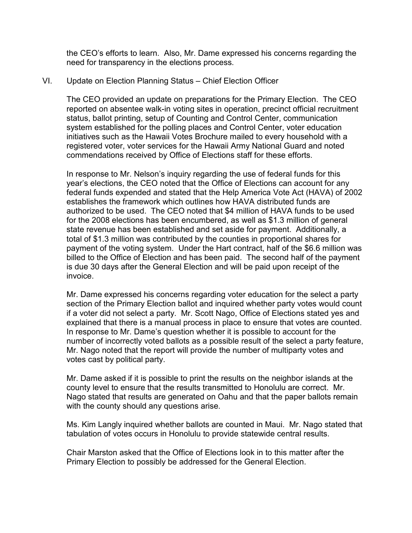the CEO's efforts to learn. Also, Mr. Dame expressed his concerns regarding the need for transparency in the elections process.

## VI. Update on Election Planning Status – Chief Election Officer

The CEO provided an update on preparations for the Primary Election. The CEO reported on absentee walk-in voting sites in operation, precinct official recruitment status, ballot printing, setup of Counting and Control Center, communication system established for the polling places and Control Center, voter education initiatives such as the Hawaii Votes Brochure mailed to every household with a registered voter, voter services for the Hawaii Army National Guard and noted commendations received by Office of Elections staff for these efforts.

In response to Mr. Nelson's inquiry regarding the use of federal funds for this year's elections, the CEO noted that the Office of Elections can account for any federal funds expended and stated that the Help America Vote Act (HAVA) of 2002 establishes the framework which outlines how HAVA distributed funds are authorized to be used. The CEO noted that \$4 million of HAVA funds to be used for the 2008 elections has been encumbered, as well as \$1.3 million of general state revenue has been established and set aside for payment. Additionally, a total of \$1.3 million was contributed by the counties in proportional shares for payment of the voting system. Under the Hart contract, half of the \$6.6 million was billed to the Office of Election and has been paid. The second half of the payment is due 30 days after the General Election and will be paid upon receipt of the invoice.

Mr. Dame expressed his concerns regarding voter education for the select a party section of the Primary Election ballot and inquired whether party votes would count if a voter did not select a party. Mr. Scott Nago, Office of Elections stated yes and explained that there is a manual process in place to ensure that votes are counted. In response to Mr. Dame's question whether it is possible to account for the number of incorrectly voted ballots as a possible result of the select a party feature, Mr. Nago noted that the report will provide the number of multiparty votes and votes cast by political party.

Mr. Dame asked if it is possible to print the results on the neighbor islands at the county level to ensure that the results transmitted to Honolulu are correct. Mr. Nago stated that results are generated on Oahu and that the paper ballots remain with the county should any questions arise.

Ms. Kim Langly inquired whether ballots are counted in Maui. Mr. Nago stated that tabulation of votes occurs in Honolulu to provide statewide central results.

Chair Marston asked that the Office of Elections look in to this matter after the Primary Election to possibly be addressed for the General Election.